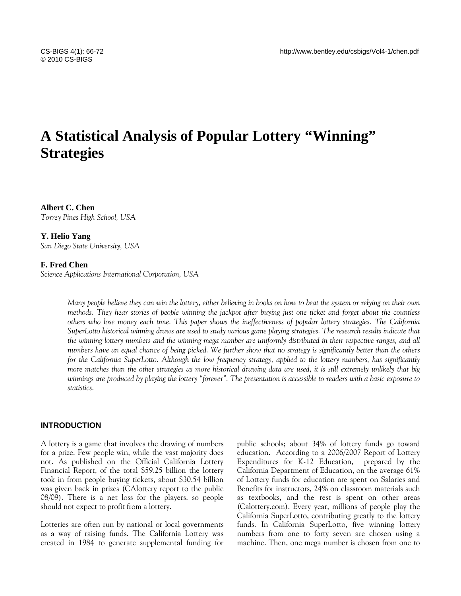# **A Statistical Analysis of Popular Lottery "Winning" Strategies**

**Albert C. Chen**  *Torrey Pines High School, USA* 

#### **Y. Helio Yang**

*San Diego State University, USA* 

#### **F. Fred Chen**

*Science Applications International Corporation, USA* 

*Many people believe they can win the lottery, either believing in books on how to beat the system or relying on their own methods. They hear stories of people winning the jackpot after buying just one ticket and forget about the countless others who lose money each time. This paper shows the ineffectiveness of popular lottery strategies. The California SuperLotto historical winning draws are used to study various game playing strategies. The research results indicate that the winning lottery numbers and the winning mega number are uniformly distributed in their respective ranges, and all numbers have an equal chance of being picked. We further show that no strategy is significantly better than the others for the California SuperLotto. Although the low frequency strategy, applied to the lottery numbers, has significantly more matches than the other strategies as more historical drawing data are used, it is still extremely unlikely that big winnings are produced by playing the lottery "forever". The presentation is accessible to readers with a basic exposure to statistics.* 

### **INTRODUCTION**

A lottery is a game that involves the drawing of numbers for a prize. Few people win, while the vast majority does not. As published on the Official California Lottery Financial Report, of the total \$59.25 billion the lottery took in from people buying tickets, about \$30.54 billion was given back in prizes (CAlottery report to the public 08/09). There is a net loss for the players, so people should not expect to profit from a lottery.

Lotteries are often run by national or local governments as a way of raising funds. The California Lottery was created in 1984 to generate supplemental funding for public schools; about 34% of lottery funds go toward education. According to a 2006/2007 Report of Lottery Expenditures for K-12 Education, prepared by the California Department of Education, on the average 61% of Lottery funds for education are spent on Salaries and Benefits for instructors, 24% on classroom materials such as textbooks, and the rest is spent on other areas (Calottery.com). Every year, millions of people play the California SuperLotto, contributing greatly to the lottery funds. In California SuperLotto, five winning lottery numbers from one to forty seven are chosen using a machine. Then, one mega number is chosen from one to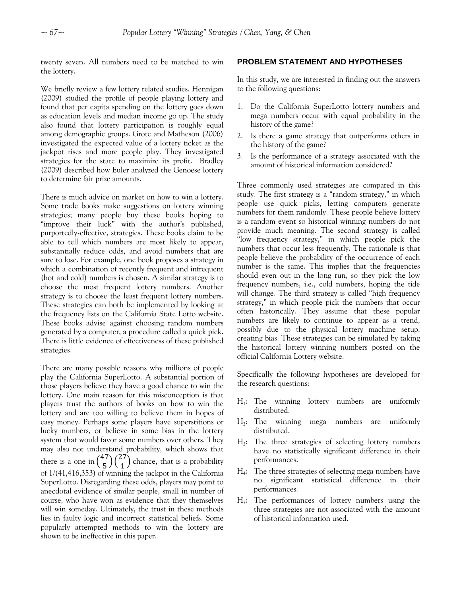twenty seven. All numbers need to be matched to win the lottery.

We briefly review a few lottery related studies. Hennigan (2009) studied the profile of people playing lottery and found that per capita spending on the lottery goes down as education levels and median income go up. The study also found that lottery participation is roughly equal among demographic groups. Grote and Matheson (2006) investigated the expected value of a lottery ticket as the jackpot rises and more people play. They investigated strategies for the state to maximize its profit. Bradley (2009) described how Euler analyzed the Genoese lottery to determine fair prize amounts.

There is much advice on market on how to win a lottery. Some trade books make suggestions on lottery winning strategies; many people buy these books hoping to "improve their luck" with the author's published, purportedly-effective, strategies. These books claim to be able to tell which numbers are most likely to appear, substantially reduce odds, and avoid numbers that are sure to lose. For example, one book proposes a strategy in which a combination of recently frequent and infrequent (hot and cold) numbers is chosen. A similar strategy is to choose the most frequent lottery numbers. Another strategy is to choose the least frequent lottery numbers. These strategies can both be implemented by looking at the frequency lists on the California State Lotto website. These books advise against choosing random numbers generated by a computer, a procedure called a quick pick. There is little evidence of effectiveness of these published strategies.

There are many possible reasons why millions of people play the California SuperLotto. A substantial portion of those players believe they have a good chance to win the lottery. One main reason for this misconception is that players trust the authors of books on how to win the lottery and are too willing to believe them in hopes of easy money. Perhaps some players have superstitions or lucky numbers, or believe in some bias in the lottery system that would favor some numbers over others. They may also not understand probability, which shows that there is a one in  $\binom{47}{5}\binom{27}{1}$  chance, that is a probability of 1/(41,416,353) of winning the jackpot in the California SuperLotto. Disregarding these odds, players may point to anecdotal evidence of similar people, small in number of course, who have won as evidence that they themselves will win someday. Ultimately, the trust in these methods lies in faulty logic and incorrect statistical beliefs. Some popularly attempted methods to win the lottery are shown to be ineffective in this paper.

#### **PROBLEM STATEMENT AND HYPOTHESES**

In this study, we are interested in finding out the answers to the following questions:

- 1. Do the California SuperLotto lottery numbers and mega numbers occur with equal probability in the history of the game?
- 2. Is there a game strategy that outperforms others in the history of the game?
- 3. Is the performance of a strategy associated with the amount of historical information considered?

Three commonly used strategies are compared in this study. The first strategy is a "random strategy," in which people use quick picks, letting computers generate numbers for them randomly. These people believe lottery is a random event so historical winning numbers do not provide much meaning. The second strategy is called "low frequency strategy," in which people pick the numbers that occur less frequently. The rationale is that people believe the probability of the occurrence of each number is the same. This implies that the frequencies should even out in the long run, so they pick the low frequency numbers, i.e., cold numbers, hoping the tide will change. The third strategy is called "high frequency strategy," in which people pick the numbers that occur often historically. They assume that these popular numbers are likely to continue to appear as a trend, possibly due to the physical lottery machine setup, creating bias. These strategies can be simulated by taking the historical lottery winning numbers posted on the official California Lottery website.

Specifically the following hypotheses are developed for the research questions:

- $H_1$ : The winning lottery numbers are uniformly distributed.
- H2: The winning mega numbers are uniformly distributed.
- H3: The three strategies of selecting lottery numbers have no statistically significant difference in their performances.
- H4: The three strategies of selecting mega numbers have no significant statistical difference in their performances.
- $H<sub>5</sub>$ : The performances of lottery numbers using the three strategies are not associated with the amount of historical information used.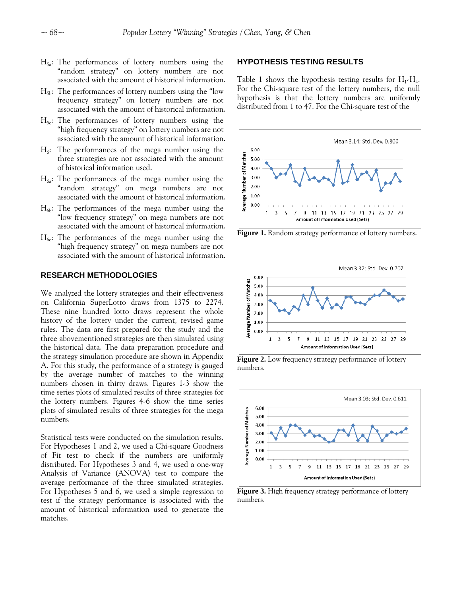- H<sub>3a</sub>: The performances of lottery numbers using the **HYPOTHESIS TESTING RESULTS** "random strategy" on lottery numbers are not associated with the amount of historical information. Table 1 shows the hypothesis testing results for  $H_1$ - $H_4$ .
- $H_{5b}$ : The performances of lottery numbers using the "low" frequency strategy" on lottery numbers are not associated with the amount of historical information.
- $H_{5c}$ : The performances of lottery numbers using the "high frequency strategy" on lottery numbers are not associated with the amount of historical information.
- $H<sub>6</sub>$ : The performances of the mega number using the three strategies are not associated with the amount of historical information used.
- $H_{6a}$ : The performances of the mega number using the "random strategy" on mega numbers are not associated with the amount of historical information.
- $H_{6b}$ : The performances of the mega number using the "low frequency strategy" on mega numbers are not associated with the amount of historical information.
- $H<sub>6c</sub>$ : The performances of the mega number using the "high frequency strategy" on mega numbers are not associated with the amount of historical information.

#### **RESEARCH METHODOLOGIES**

We analyzed the lottery strategies and their effectiveness on California SuperLotto draws from 1375 to 2274. These nine hundred lotto draws represent the whole history of the lottery under the current, revised game rules. The data are first prepared for the study and the three abovementioned strategies are then simulated using the historical data. The data preparation procedure and the strategy simulation procedure are shown in Appendix A. For this study, the performance of a strategy is gauged by the average number of matches to the winning numbers chosen in thirty draws. Figures 1-3 show the time series plots of simulated results of three strategies for the lottery numbers. Figures 4-6 show the time series plots of simulated results of three strategies for the mega numbers.

Statistical tests were conducted on the simulation results. For Hypotheses 1 and 2, we used a Chi-square Goodness of Fit test to check if the numbers are uniformly distributed. For Hypotheses 3 and 4, we used a one-way Analysis of Variance (ANOVA) test to compare the average performance of the three simulated strategies. For Hypotheses 5 and 6, we used a simple regression to test if the strategy performance is associated with the amount of historical information used to generate the matches.

For the Chi-square test of the lottery numbers, the null hypothesis is that the lottery numbers are uniformly distributed from 1 to 47. For the Chi-square test of the



**Figure 1.** Random strategy performance of lottery numbers.



**Figure 2.** Low frequency strategy performance of lottery numbers.



**Figure 3.** High frequency strategy performance of lottery numbers.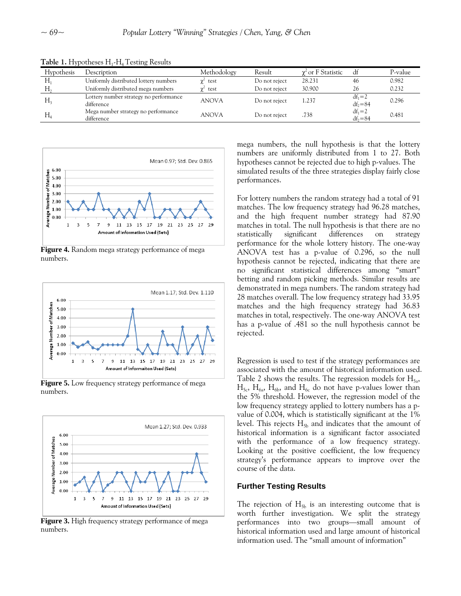| Hypothesis     | Description                                          | Methodology     | Result        | $\gamma^2$ or F Statistic | df                        | P-value |
|----------------|------------------------------------------------------|-----------------|---------------|---------------------------|---------------------------|---------|
| H <sub>1</sub> | Uniformly distributed lottery numbers                | $\gamma^2$ test | Do not reject | 28.231                    | 46                        | 0.982   |
|                | Uniformly distributed mega numbers                   | $\gamma^2$ test | Do not reject | 30.900                    | 26                        | 0.232   |
| H <sub>2</sub> | Lottery number strategy no performance<br>difference | <b>ANOVA</b>    | Do not reject | 1.237                     | $df_1 = 2$<br>$df_2 = 84$ | 0.296   |
| $H_{4}$        | Mega number strategy no performance<br>difference    | <b>ANOVA</b>    | Do not reject | .738                      | $df_1 = 2$<br>$df_2 = 84$ | 0.481   |

Table 1. Hypotheses H<sub>1</sub>-H<sub>4</sub> Testing Results



**Figure 4.** Random mega strategy performance of mega numbers.



**Figure 5.** Low frequency strategy performance of mega numbers.



**Figure 3.** High frequency strategy performance of mega numbers.

mega numbers, the null hypothesis is that the lottery numbers are uniformly distributed from 1 to 27. Both hypotheses cannot be rejected due to high p-values. The simulated results of the three strategies display fairly close performances.

For lottery numbers the random strategy had a total of 91 matches. The low frequency strategy had 96.28 matches, and the high frequent number strategy had 87.90 matches in total. The null hypothesis is that there are no statistically significant differences on strategy performance for the whole lottery history. The one-way ANOVA test has a p-value of 0.296, so the null hypothesis cannot be rejected, indicating that there are no significant statistical differences among "smart" betting and random picking methods. Similar results are demonstrated in mega numbers. The random strategy had 28 matches overall. The low frequency strategy had 33.95 matches and the high frequency strategy had 36.83 matches in total, respectively. The one-way ANOVA test has a p-value of .481 so the null hypothesis cannot be rejected.

Regression is used to test if the strategy performances are associated with the amount of historical information used. Table 2 shows the results. The regression models for  $H_{5a}$ ,  $H_{5c}$ ,  $H_{6a}$ ,  $H_{6b}$ , and  $H_{6c}$  do not have p-values lower than the 5% threshold. However, the regression model of the low frequency strategy applied to lottery numbers has a pvalue of 0.004, which is statistically significant at the 1% level. This rejects  $H_{5b}$  and indicates that the amount of historical information is a significant factor associated with the performance of a low frequency strategy. Looking at the positive coefficient, the low frequency strategy's performance appears to improve over the course of the data.

#### **Further Testing Results**

The rejection of  $H_{5b}$  is an interesting outcome that is worth further investigation. We split the strategy performances into two groups—small amount of historical information used and large amount of historical information used. The "small amount of information"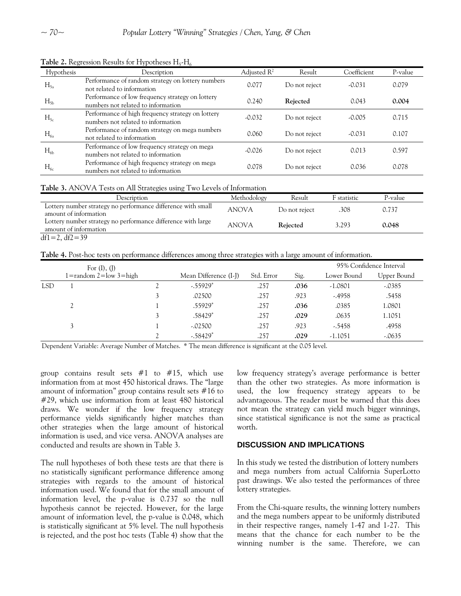| Hypothesis | Description                                                                             | Adjusted $R^2$ | Result        | Coefficient | P-value |
|------------|-----------------------------------------------------------------------------------------|----------------|---------------|-------------|---------|
| $H_{5a}$   | Performance of random strategy on lottery numbers<br>not related to information         | 0.077          | Do not reject | $-0.031$    | 0.079   |
| $H_{5b}$   | Performance of low frequency strategy on lottery<br>numbers not related to information  | 0.240          | Rejected      | 0.043       | 0.004   |
| $H_{5c}$   | Performance of high frequency strategy on lottery<br>numbers not related to information | $-0.032$       | Do not reject | $-0.005$    | 0.715   |
| $H_{6a}$   | Performance of random strategy on mega numbers<br>not related to information            | 0.060          | Do not reject | $-0.031$    | 0.107   |
| $H_{6b}$   | Performance of low frequency strategy on mega<br>numbers not related to information     | $-0.026$       | Do not reject | 0.013       | 0.597   |
| $H_{6c}$   | Performance of high frequency strategy on mega<br>numbers not related to information    | 0.078          | Do not reject | 0.036       | 0.078   |

**Table 2.** Regression Results for Hypotheses  $H_5$ - $H_6$ 

### **Table 3.** ANOVA Tests on All Strategies using Two Levels of Information

| Description                                                                           | Methodology  | Result        | F statistic | P-value |
|---------------------------------------------------------------------------------------|--------------|---------------|-------------|---------|
| Lottery number strategy no performance difference with small<br>amount of information | <b>ANOVA</b> | Do not reject | .308        | 0.737   |
| Lottery number strategy no performance difference with large<br>amount of information | <b>ANOVA</b> | Rejected      | 3.293       | 0.048   |
| $df1 = 2$ , $df2 = 39$                                                                |              |               |             |         |

**Table 4.** Post-hoc tests on performance differences among three strategies with a large amount of information.

|            | For $(I)$ , $(J)$                 |  |                         |            |      | 95% Confidence Interval |             |
|------------|-----------------------------------|--|-------------------------|------------|------|-------------------------|-------------|
|            | $1 =$ random $2 =$ low $3 =$ high |  | Mean Difference (I-J)   | Std. Error | Sig. | Lower Bound             | Upper Bound |
| <b>LSD</b> |                                   |  | $-0.55929$ <sup>*</sup> | .257       | .036 | $-1.0801$               | $-.0385$    |
|            |                                   |  | .02500                  | .257       | .923 | $-0.4958$               | .5458       |
|            |                                   |  | .55929*                 | .257       | .036 | .0385                   | 1.0801      |
|            |                                   |  | .58429*                 | .257       | .029 | .0635                   | 1.1051      |
|            |                                   |  | $-.02500$               | .257       | .923 | $-5458$                 | .4958       |
|            |                                   |  | $-0.58429$ <sup>*</sup> | .257       | .029 | $-1.1051$               | $-.0635$    |

Dependent Variable: Average Number of Matches. \* The mean difference is significant at the 0.05 level.

group contains result sets  $#1$  to  $#15$ , which use information from at most 450 historical draws. The "large amount of information" group contains result sets #16 to #29, which use information from at least 480 historical draws. We wonder if the low frequency strategy performance yields significantly higher matches than other strategies when the large amount of historical information is used, and vice versa. ANOVA analyses are conducted and results are shown in Table 3.

The null hypotheses of both these tests are that there is no statistically significant performance difference among strategies with regards to the amount of historical information used. We found that for the small amount of information level, the p-value is 0.737 so the null hypothesis cannot be rejected. However, for the large amount of information level, the p-value is 0.048, which is statistically significant at 5% level. The null hypothesis is rejected, and the post hoc tests (Table 4) show that the low frequency strategy's average performance is better than the other two strategies. As more information is used, the low frequency strategy appears to be advantageous. The reader must be warned that this does not mean the strategy can yield much bigger winnings, since statistical significance is not the same as practical worth.

### **DISCUSSION AND IMPLICATIONS**

In this study we tested the distribution of lottery numbers and mega numbers from actual California SuperLotto past drawings. We also tested the performances of three lottery strategies.

From the Chi-square results, the winning lottery numbers and the mega numbers appear to be uniformly distributed in their respective ranges, namely 1-47 and 1-27. This means that the chance for each number to be the winning number is the same. Therefore, we can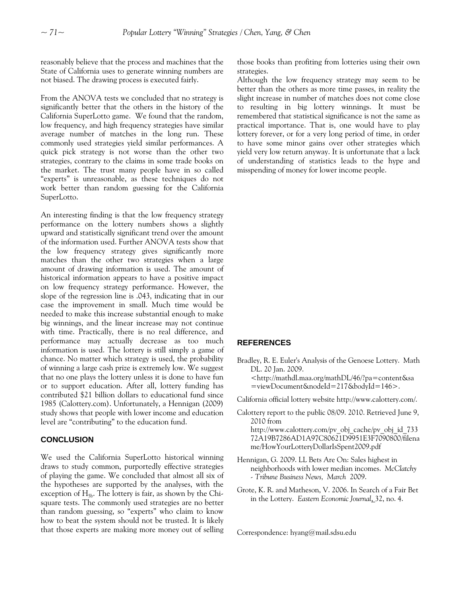reasonably believe that the process and machines that the State of California uses to generate winning numbers are not biased. The drawing process is executed fairly.

From the ANOVA tests we concluded that no strategy is significantly better that the others in the history of the California SuperLotto game. We found that the random, low frequency, and high frequency strategies have similar average number of matches in the long run. These commonly used strategies yield similar performances. A quick pick strategy is not worse than the other two strategies, contrary to the claims in some trade books on the market. The trust many people have in so called "experts" is unreasonable, as these techniques do not work better than random guessing for the California SuperLotto.

An interesting finding is that the low frequency strategy performance on the lottery numbers shows a slightly upward and statistically significant trend over the amount of the information used. Further ANOVA tests show that the low frequency strategy gives significantly more matches than the other two strategies when a large amount of drawing information is used. The amount of historical information appears to have a positive impact on low frequency strategy performance. However, the slope of the regression line is .043, indicating that in our case the improvement in small. Much time would be needed to make this increase substantial enough to make big winnings, and the linear increase may not continue with time. Practically, there is no real difference, and performance may actually decrease as too much information is used. The lottery is still simply a game of chance. No matter which strategy is used, the probability of winning a large cash prize is extremely low. We suggest that no one plays the lottery unless it is done to have fun or to support education. After all, lottery funding has contributed \$21 billion dollars to educational fund since 1985 (Calottery.com). Unfortunately, a Hennigan (2009) study shows that people with lower income and education level are "contributing" to the education fund.

# **CONCLUSION**

We used the California SuperLotto historical winning draws to study common, purportedly effective strategies of playing the game. We concluded that almost all six of the hypotheses are supported by the analyses, with the exception of  $H_{5b}$ . The lottery is fair, as shown by the Chisquare tests. The commonly used strategies are no better than random guessing, so "experts" who claim to know how to beat the system should not be trusted. It is likely that those experts are making more money out of selling those books than profiting from lotteries using their own strategies.

Although the low frequency strategy may seem to be better than the others as more time passes, in reality the slight increase in number of matches does not come close to resulting in big lottery winnings. It must be remembered that statistical significance is not the same as practical importance. That is, one would have to play lottery forever, or for a very long period of time, in order to have some minor gains over other strategies which yield very low return anyway. It is unfortunate that a lack of understanding of statistics leads to the hype and misspending of money for lower income people.

#### **REFERENCES**

- Bradley, R. E. Euler's Analysis of the Genoese Lottery. Math DL. 20 Jan. 2009.
	- [<http://mathdl.maa.org/mathDL/46/?pa=content&sa](http://mathdl.maa.org/mathDL/46/?pa=content&sa=viewDocument&nodeId=217&bodyId=146%3e) [=viewDocument&nodeId=217&bodyId=146>](http://mathdl.maa.org/mathDL/46/?pa=content&sa=viewDocument&nodeId=217&bodyId=146%3e).
- California official lottery website<http://www.calottery.com/>.
- Calottery report to the public 08/09. 2010. Retrieved June 9, 2010 from http://www.calottery.com/pv\_obj\_cache/pv\_obj\_id\_733 72A19B7286AD1A97C80621D9951E3F7090800/filena me/HowYourLotteryDollarIsSpent2009.pdf
- Hennigan, G. 2009. LL Bets Are On: Sales highest in neighborhoods with lower median incomes. *McClatchy - Tribune Business News, March* 2009.
- Grote, K. R. and Matheson, V. 2006. In Search of a Fair Bet in the Lottery. *Eastern Economic Journal*, 32, no. 4.

Correspondence: hyang@mail.sdsu.edu